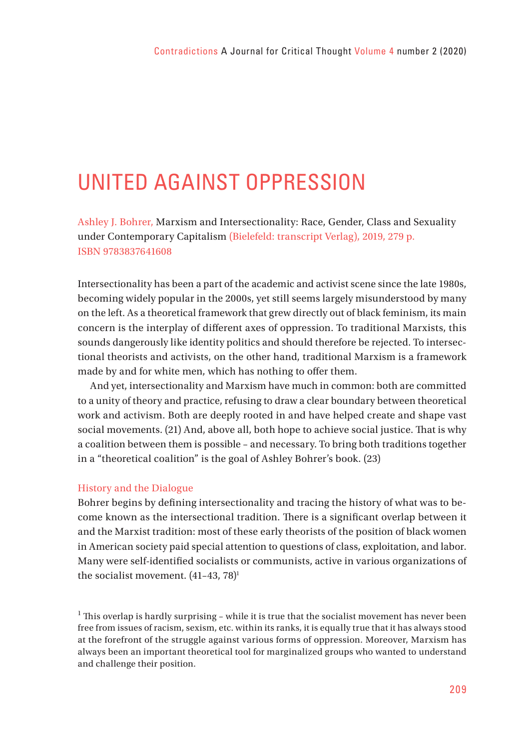# UNITED AGAINST OPPRESSION

Ashley J. Bohrer, Marxism and Intersectionality: Race, Gender, Class and Sexuality under Contemporary Capitalism (Bielefeld: transcript Verlag), 2019, 279 p. ISBN 9783837641608

Intersectionality has been a part of the academic and activist scene since the late 1980s, becoming widely popular in the 2000s, yet still seems largely misunderstood by many on the left. As a theoretical framework that grew directly out of black feminism, its main concern is the interplay of different axes of oppression. To traditional Marxists, this sounds dangerously like identity politics and should therefore be rejected. To intersectional theorists and activists, on the other hand, traditional Marxism is a framework made by and for white men, which has nothing to offer them.

And yet, intersectionality and Marxism have much in common: both are committed to a unity of theory and practice, refusing to draw a clear boundary between theoretical work and activism. Both are deeply rooted in and have helped create and shape vast social movements. (21) And, above all, both hope to achieve social justice. That is why a coalition between them is possible – and necessary. To bring both traditions together in a "theoretical coalition" is the goal of Ashley Bohrer's book. (23)

#### History and the Dialogue

Bohrer begins by defining intersectionality and tracing the history of what was to become known as the intersectional tradition. There is a significant overlap between it and the Marxist tradition: most of these early theorists of the position of black women in American society paid special attention to questions of class, exploitation, and labor. Many were self-identified socialists or communists, active in various organizations of the socialist movement. (41-43, 78)<sup>1</sup>

 $<sup>1</sup>$  This overlap is hardly surprising - while it is true that the socialist movement has never been</sup> free from issues of racism, sexism, etc. within its ranks, it is equally true that it has always stood at the forefront of the struggle against various forms of oppression. Moreover, Marxism has always been an important theoretical tool for marginalized groups who wanted to understand and challenge their position.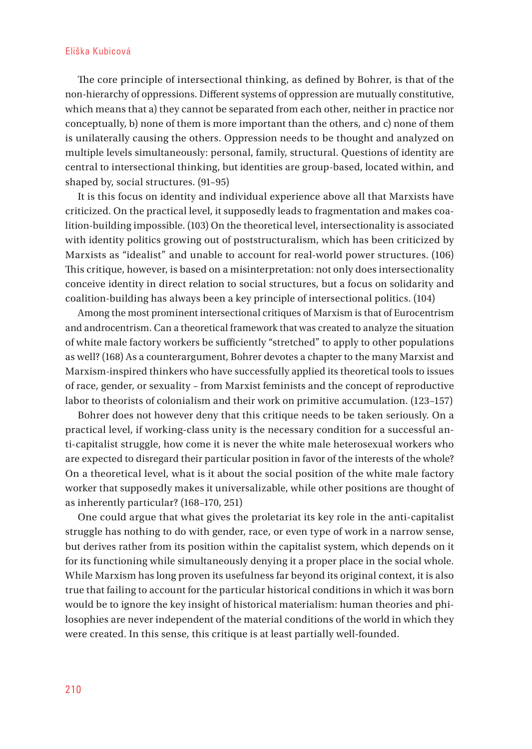#### Eliška Kubicová

The core principle of intersectional thinking, as defined by Bohrer, is that of the non-hierarchy of oppressions. Different systems of oppression are mutually constitutive, which means that a) they cannot be separated from each other, neither in practice nor conceptually, b) none of them is more important than the others, and c) none of them is unilaterally causing the others. Oppression needs to be thought and analyzed on multiple levels simultaneously: personal, family, structural. Questions of identity are central to intersectional thinking, but identities are group-based, located within, and shaped by, social structures. (91–95)

It is this focus on identity and individual experience above all that Marxists have criticized. On the practical level, it supposedly leads to fragmentation and makes coalition-building impossible. (103) On the theoretical level, intersectionality is associated with identity politics growing out of poststructuralism, which has been criticized by Marxists as "idealist" and unable to account for real-world power structures. (106) This critique, however, is based on a misinterpretation: not only does intersectionality conceive identity in direct relation to social structures, but a focus on solidarity and coalition-building has always been a key principle of intersectional politics. (104)

Among the most prominent intersectional critiques of Marxism is that of Eurocentrism and androcentrism. Can a theoretical framework that was created to analyze the situation of white male factory workers be sufficiently "stretched" to apply to other populations as well? (168) As a counterargument, Bohrer devotes a chapter to the many Marxist and Marxism-inspired thinkers who have successfully applied its theoretical tools to issues of race, gender, or sexuality – from Marxist feminists and the concept of reproductive labor to theorists of colonialism and their work on primitive accumulation. (123–157)

Bohrer does not however deny that this critique needs to be taken seriously. On a practical level, if working-class unity is the necessary condition for a successful anti-capitalist struggle, how come it is never the white male heterosexual workers who are expected to disregard their particular position in favor of the interests of the whole? On a theoretical level, what is it about the social position of the white male factory worker that supposedly makes it universalizable, while other positions are thought of as inherently particular? (168–170, 251)

One could argue that what gives the proletariat its key role in the anti-capitalist struggle has nothing to do with gender, race, or even type of work in a narrow sense, but derives rather from its position within the capitalist system, which depends on it for its functioning while simultaneously denying it a proper place in the social whole. While Marxism has long proven its usefulness far beyond its original context, it is also true that failing to account for the particular historical conditions in which it was born would be to ignore the key insight of historical materialism: human theories and philosophies are never independent of the material conditions of the world in which they were created. In this sense, this critique is at least partially well-founded.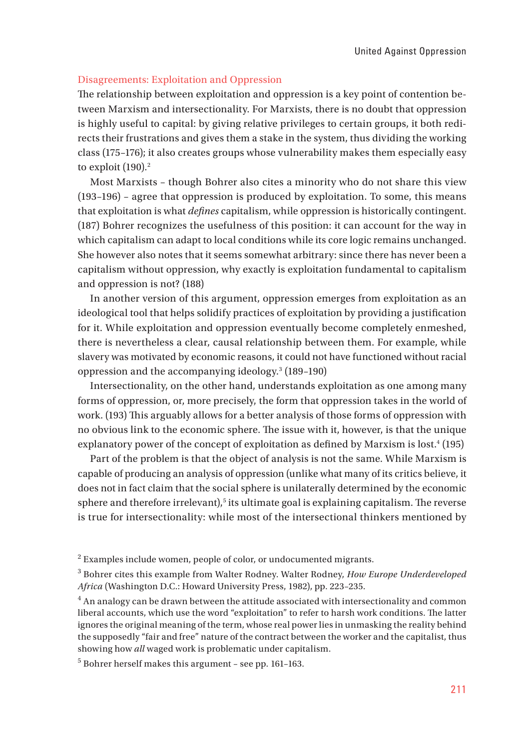## Disagreements: Exploitation and Oppression

The relationship between exploitation and oppression is a key point of contention between Marxism and intersectionality. For Marxists, there is no doubt that oppression is highly useful to capital: by giving relative privileges to certain groups, it both redirects their frustrations and gives them a stake in the system, thus dividing the working class (175–176); it also creates groups whose vulnerability makes them especially easy to exploit  $(190).<sup>2</sup>$ 

Most Marxists – though Bohrer also cites a minority who do not share this view (193–196) – agree that oppression is produced by exploitation. To some, this means that exploitation is what *defines* capitalism, while oppression is historically contingent. (187) Bohrer recognizes the usefulness of this position: it can account for the way in which capitalism can adapt to local conditions while its core logic remains unchanged. She however also notes that it seems somewhat arbitrary: since there has never been a capitalism without oppression, why exactly is exploitation fundamental to capitalism and oppression is not? (188)

In another version of this argument, oppression emerges from exploitation as an ideological tool that helps solidify practices of exploitation by providing a justification for it. While exploitation and oppression eventually become completely enmeshed, there is nevertheless a clear, causal relationship between them. For example, while slavery was motivated by economic reasons, it could not have functioned without racial oppression and the accompanying ideology.3 (189–190)

Intersectionality, on the other hand, understands exploitation as one among many forms of oppression, or, more precisely, the form that oppression takes in the world of work. (193) This arguably allows for a better analysis of those forms of oppression with no obvious link to the economic sphere. The issue with it, however, is that the unique explanatory power of the concept of exploitation as defined by Marxism is lost.<sup>4</sup> (195)

Part of the problem is that the object of analysis is not the same. While Marxism is capable of producing an analysis of oppression (unlike what many of its critics believe, it does not in fact claim that the social sphere is unilaterally determined by the economic  $s$ phere and therefore irrelevant), $s$  its ultimate goal is explaining capitalism. The reverse is true for intersectionality: while most of the intersectional thinkers mentioned by

 $2$  Examples include women, people of color, or undocumented migrants.

<sup>3</sup> Bohrer cites this example from Walter Rodney. Walter Rodney, *How Europe Underdeveloped Africa* (Washington D.C.: Howard University Press, 1982), pp. 223–235.

 $<sup>4</sup>$  An analogy can be drawn between the attitude associated with intersectionality and common</sup> liberal accounts, which use the word "exploitation" to refer to harsh work conditions. The latter ignores the original meaning of the term, whose real power lies in unmasking the reality behind the supposedly "fair and free" nature of the contract between the worker and the capitalist, thus showing how *all* waged work is problematic under capitalism.

<sup>5</sup> Bohrer herself makes this argument – see pp. 161–163.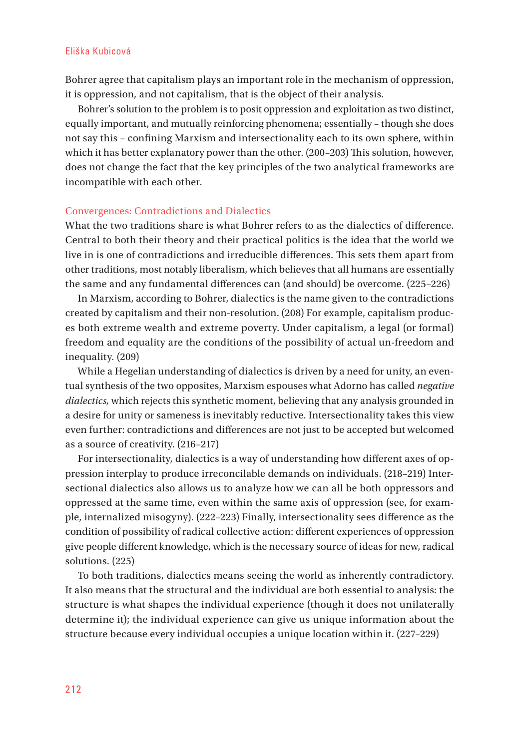#### Eliška Kubicová

Bohrer agree that capitalism plays an important role in the mechanism of oppression, it is oppression, and not capitalism, that is the object of their analysis.

Bohrer's solution to the problem is to posit oppression and exploitation as two distinct, equally important, and mutually reinforcing phenomena; essentially – though she does not say this - confining Marxism and intersectionality each to its own sphere, within which it has better explanatory power than the other. (200-203) This solution, however, does not change the fact that the key principles of the two analytical frameworks are incompatible with each other.

# Convergences: Contradictions and Dialectics

What the two traditions share is what Bohrer refers to as the dialectics of difference. Central to both their theory and their practical politics is the idea that the world we live in is one of contradictions and irreducible differences. This sets them apart from other traditions, most notably liberalism, which believes that all humans are essentially the same and any fundamental differences can (and should) be overcome. (225-226)

In Marxism, according to Bohrer, dialectics is the name given to the contradictions created by capitalism and their non-resolution. (208) For example, capitalism produces both extreme wealth and extreme poverty. Under capitalism, a legal (or formal) freedom and equality are the conditions of the possibility of actual un-freedom and inequality. (209)

While a Hegelian understanding of dialectics is driven by a need for unity, an eventual synthesis of the two opposites, Marxism espouses what Adorno has called *negative dialectics,* which rejects this synthetic moment, believing that any analysis grounded in a desire for unity or sameness is inevitably reductive. Intersectionality takes this view even further: contradictions and differences are not just to be accepted but welcomed as a source of creativity. (216–217)

For intersectionality, dialectics is a way of understanding how different axes of oppression interplay to produce irreconcilable demands on individuals. (218–219) Intersectional dialectics also allows us to analyze how we can all be both oppressors and oppressed at the same time, even within the same axis of oppression (see, for example, internalized misogyny). (222-223) Finally, intersectionality sees difference as the condition of possibility of radical collective action: different experiences of oppression give people different knowledge, which is the necessary source of ideas for new, radical solutions. (225)

To both traditions, dialectics means seeing the world as inherently contradictory. It also means that the structural and the individual are both essential to analysis: the structure is what shapes the individual experience (though it does not unilaterally determine it); the individual experience can give us unique information about the structure because every individual occupies a unique location within it. (227–229)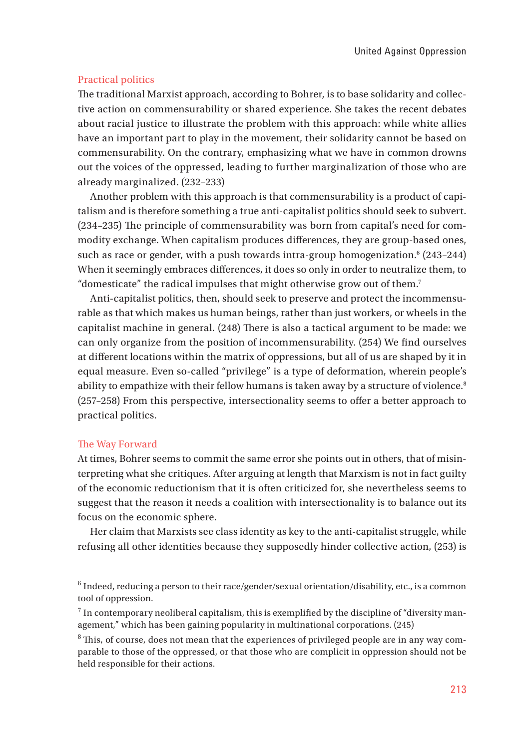### Practical politics

The traditional Marxist approach, according to Bohrer, is to base solidarity and collective action on commensurability or shared experience. She takes the recent debates about racial justice to illustrate the problem with this approach: while white allies have an important part to play in the movement, their solidarity cannot be based on commensurability. On the contrary, emphasizing what we have in common drowns out the voices of the oppressed, leading to further marginalization of those who are already marginalized. (232–233)

Another problem with this approach is that commensurability is a product of capitalism and is therefore something a true anti-capitalist politics should seek to subvert.  $(234-235)$  The principle of commensurability was born from capital's need for commodity exchange. When capitalism produces differences, they are group-based ones, such as race or gender, with a push towards intra-group homogenization.<sup>6</sup> (243–244) When it seemingly embraces differences, it does so only in order to neutralize them, to "domesticate" the radical impulses that might otherwise grow out of them.7

Anti-capitalist politics, then, should seek to preserve and protect the incommensurable as that which makes us human beings, rather than just workers, or wheels in the capitalist machine in general. (248) There is also a tactical argument to be made: we can only organize from the position of incommensurability. (254) We find ourselves at different locations within the matrix of oppressions, but all of us are shaped by it in equal measure. Even so-called "privilege" is a type of deformation, wherein people's ability to empathize with their fellow humans is taken away by a structure of violence.<sup>8</sup>  $(257-258)$  From this perspective, intersectionality seems to offer a better approach to practical politics.

#### The Way Forward

At times, Bohrer seems to commit the same error she points out in others, that of misinterpreting what she critiques. After arguing at length that Marxism is not in fact guilty of the economic reductionism that it is often criticized for, she nevertheless seems to suggest that the reason it needs a coalition with intersectionality is to balance out its focus on the economic sphere.

Her claim that Marxists see class identity as key to the anti-capitalist struggle, while refusing all other identities because they supposedly hinder collective action, (253) is

 $^6$  Indeed, reducing a person to their race/gender/sexual orientation/disability, etc., is a common tool of oppression.

 $7$  In contemporary neoliberal capitalism, this is exemplified by the discipline of "diversity management," which has been gaining popularity in multinational corporations. (245)

<sup>8</sup> This, of course, does not mean that the experiences of privileged people are in any way comparable to those of the oppressed, or that those who are complicit in oppression should not be held responsible for their actions.